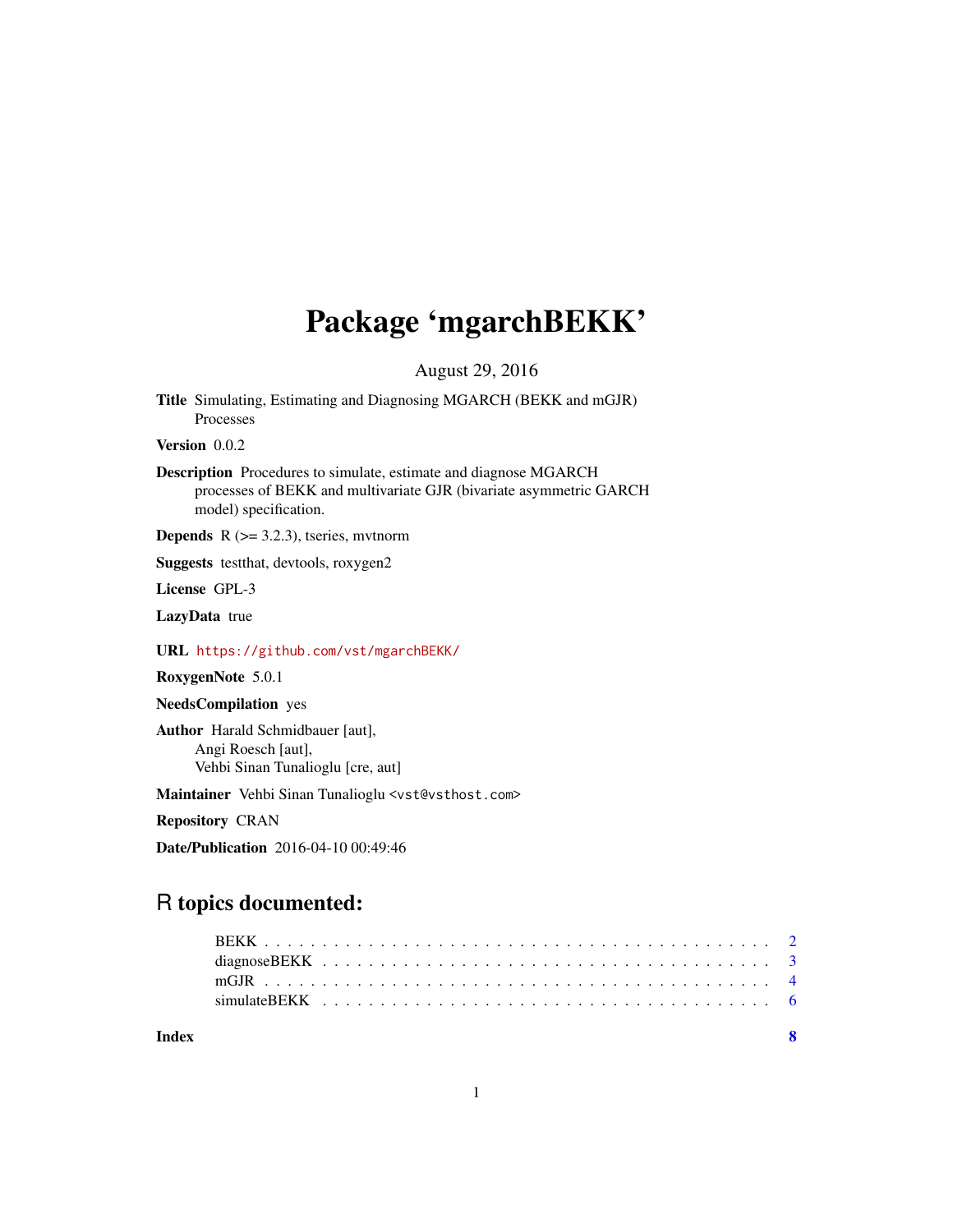## Package 'mgarchBEKK'

August 29, 2016

Title Simulating, Estimating and Diagnosing MGARCH (BEKK and mGJR) Processes

Version 0.0.2

Description Procedures to simulate, estimate and diagnose MGARCH processes of BEKK and multivariate GJR (bivariate asymmetric GARCH model) specification.

**Depends**  $R$  ( $> = 3.2.3$ ), tseries, mythorm

Suggests testthat, devtools, roxygen2

License GPL-3

LazyData true

URL <https://github.com/vst/mgarchBEKK/>

RoxygenNote 5.0.1

NeedsCompilation yes

Author Harald Schmidbauer [aut], Angi Roesch [aut], Vehbi Sinan Tunalioglu [cre, aut]

Maintainer Vehbi Sinan Tunalioglu <vst@vsthost.com>

Repository CRAN

Date/Publication 2016-04-10 00:49:46

### R topics documented:

**Index** [8](#page-7-0) **8**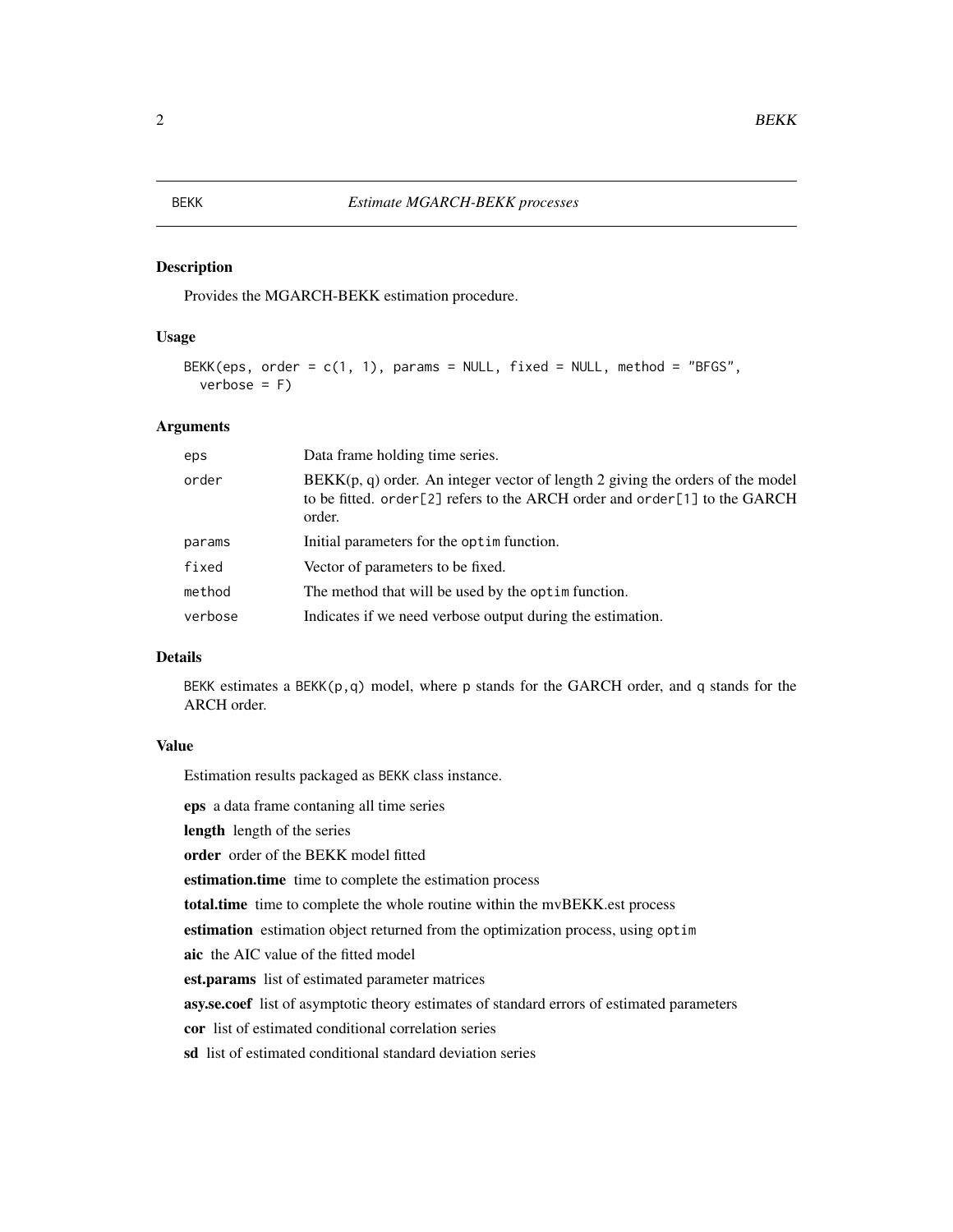#### <span id="page-1-0"></span>Description

Provides the MGARCH-BEKK estimation procedure.

#### Usage

```
BEKK(eps, order = c(1, 1), params = NULL, fixed = NULL, method = "BFGS",
 verbose = F)
```
#### Arguments

| eps     | Data frame holding time series.                                                                                                                                         |
|---------|-------------------------------------------------------------------------------------------------------------------------------------------------------------------------|
| order   | $BEKK(p, q)$ order. An integer vector of length 2 giving the orders of the model<br>to be fitted. order[2] refers to the ARCH order and order[1] to the GARCH<br>order. |
| params  | Initial parameters for the optime function.                                                                                                                             |
| fixed   | Vector of parameters to be fixed.                                                                                                                                       |
| method  | The method that will be used by the optime function.                                                                                                                    |
| verbose | Indicates if we need verbose output during the estimation.                                                                                                              |

#### Details

BEKK estimates a BEKK $(p,q)$  model, where p stands for the GARCH order, and q stands for the ARCH order.

#### Value

Estimation results packaged as BEKK class instance.

eps a data frame contaning all time series

length length of the series

order order of the BEKK model fitted

estimation.time time to complete the estimation process

total.time time to complete the whole routine within the mvBEKK.est process

estimation estimation object returned from the optimization process, using optim

aic the AIC value of the fitted model

est.params list of estimated parameter matrices

asy.se.coef list of asymptotic theory estimates of standard errors of estimated parameters

cor list of estimated conditional correlation series

sd list of estimated conditional standard deviation series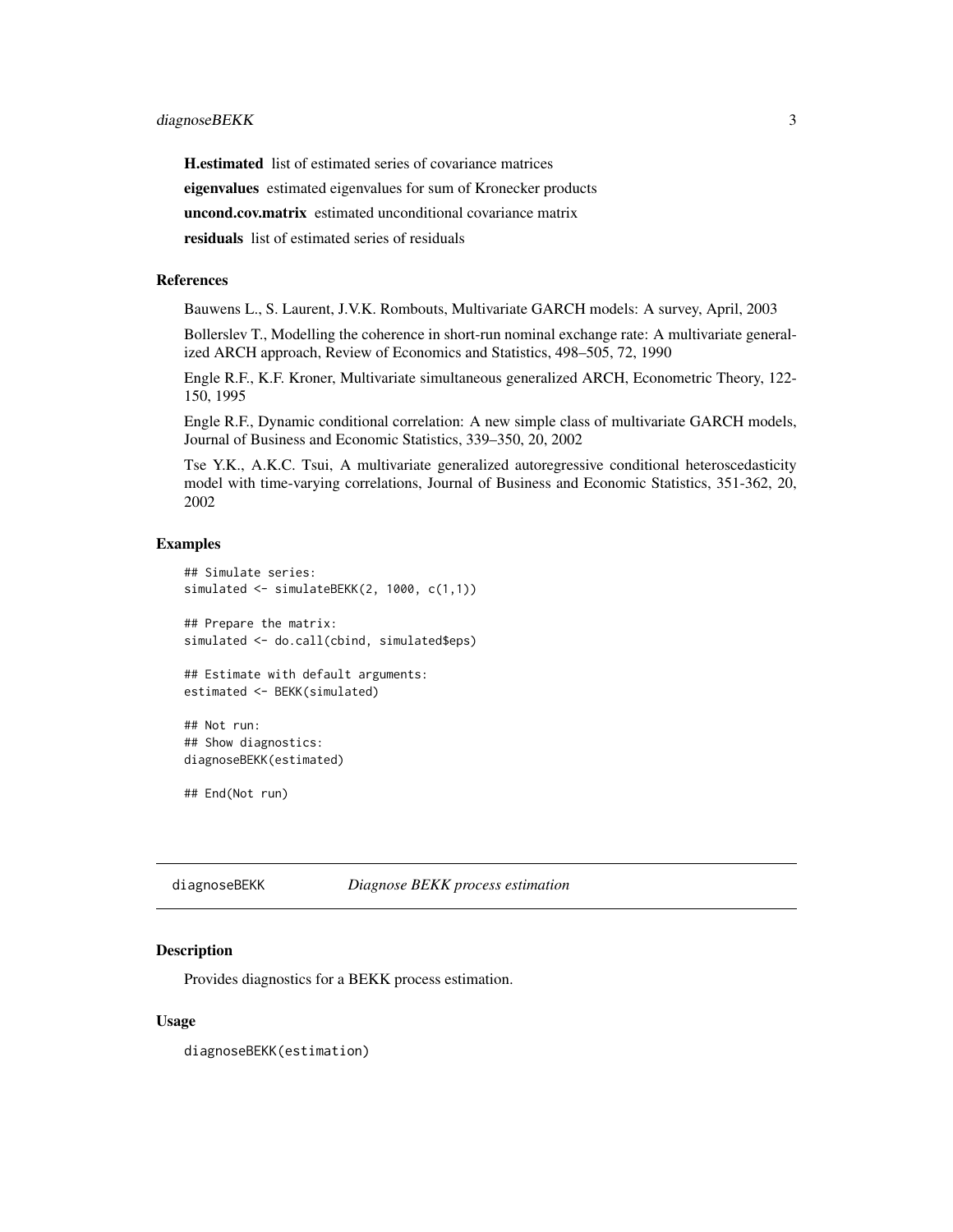<span id="page-2-0"></span>H.estimated list of estimated series of covariance matrices eigenvalues estimated eigenvalues for sum of Kronecker products uncond.cov.matrix estimated unconditional covariance matrix

residuals list of estimated series of residuals

#### References

Bauwens L., S. Laurent, J.V.K. Rombouts, Multivariate GARCH models: A survey, April, 2003

Bollerslev T., Modelling the coherence in short-run nominal exchange rate: A multivariate generalized ARCH approach, Review of Economics and Statistics, 498–505, 72, 1990

Engle R.F., K.F. Kroner, Multivariate simultaneous generalized ARCH, Econometric Theory, 122- 150, 1995

Engle R.F., Dynamic conditional correlation: A new simple class of multivariate GARCH models, Journal of Business and Economic Statistics, 339–350, 20, 2002

Tse Y.K., A.K.C. Tsui, A multivariate generalized autoregressive conditional heteroscedasticity model with time-varying correlations, Journal of Business and Economic Statistics, 351-362, 20, 2002

#### Examples

```
## Simulate series:
simulated <- simulateBEKK(2, 1000, c(1,1))
## Prepare the matrix:
simulated <- do.call(cbind, simulated$eps)
## Estimate with default arguments:
estimated <- BEKK(simulated)
## Not run:
## Show diagnostics:
diagnoseBEKK(estimated)
## End(Not run)
```
diagnoseBEKK *Diagnose BEKK process estimation*

#### **Description**

Provides diagnostics for a BEKK process estimation.

#### Usage

diagnoseBEKK(estimation)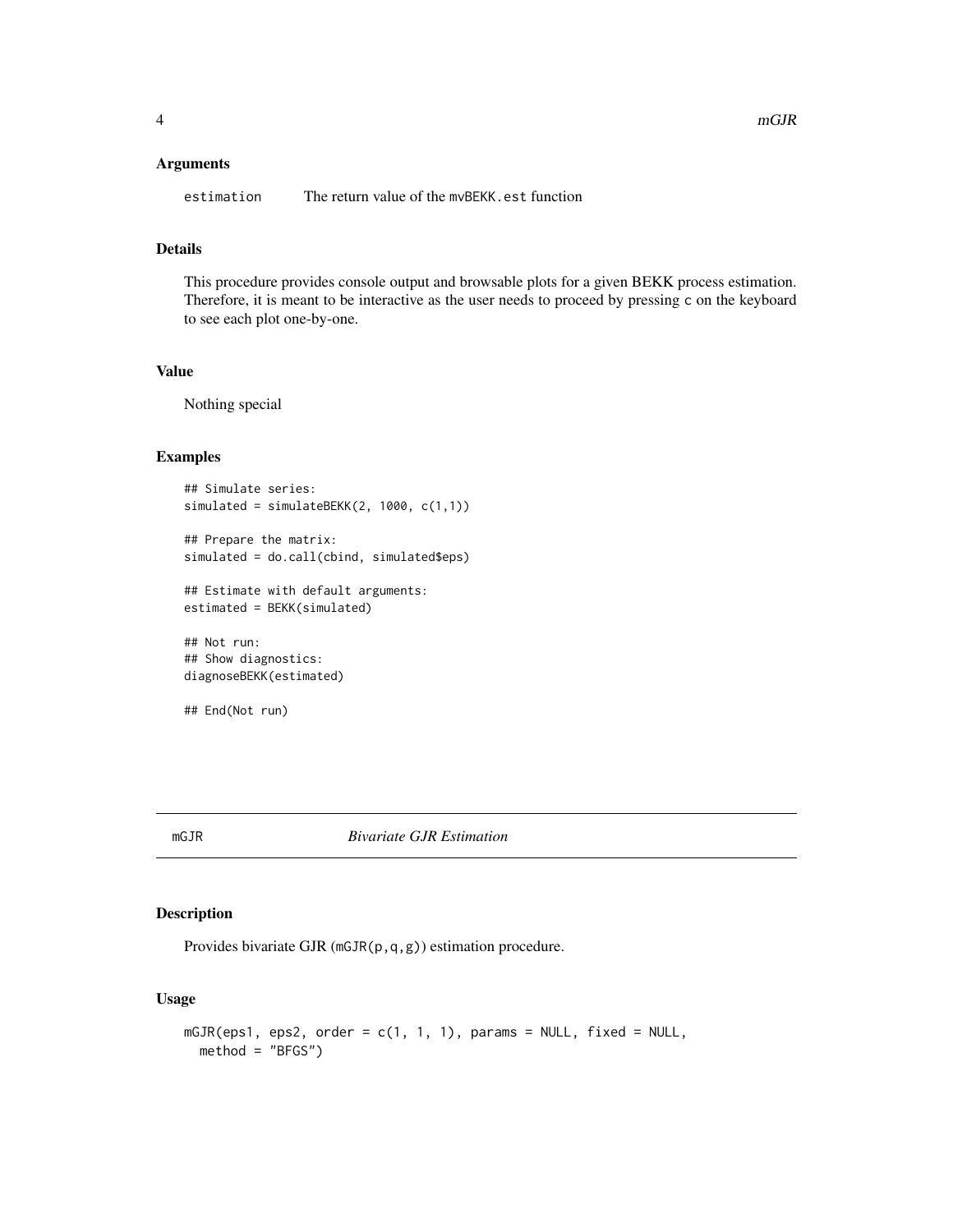#### <span id="page-3-0"></span>Arguments

estimation The return value of the mvBEKK.est function

#### Details

This procedure provides console output and browsable plots for a given BEKK process estimation. Therefore, it is meant to be interactive as the user needs to proceed by pressing c on the keyboard to see each plot one-by-one.

#### Value

Nothing special

#### Examples

```
## Simulate series:
simulated = simulateBEKK(2, 1000, c(1,1))
## Prepare the matrix:
simulated = do.call(cbind, simulated$eps)
## Estimate with default arguments:
estimated = BEKK(simulated)
## Not run:
```

```
## Show diagnostics:
diagnoseBEKK(estimated)
```

```
## End(Not run)
```
#### mGJR *Bivariate GJR Estimation*

#### **Description**

Provides bivariate GJR (mGJR(p,q,g)) estimation procedure.

#### Usage

```
mGJR(eps1, eps2, order = c(1, 1, 1), params = NULL, fixed = NULL,
 method = "BFGS")
```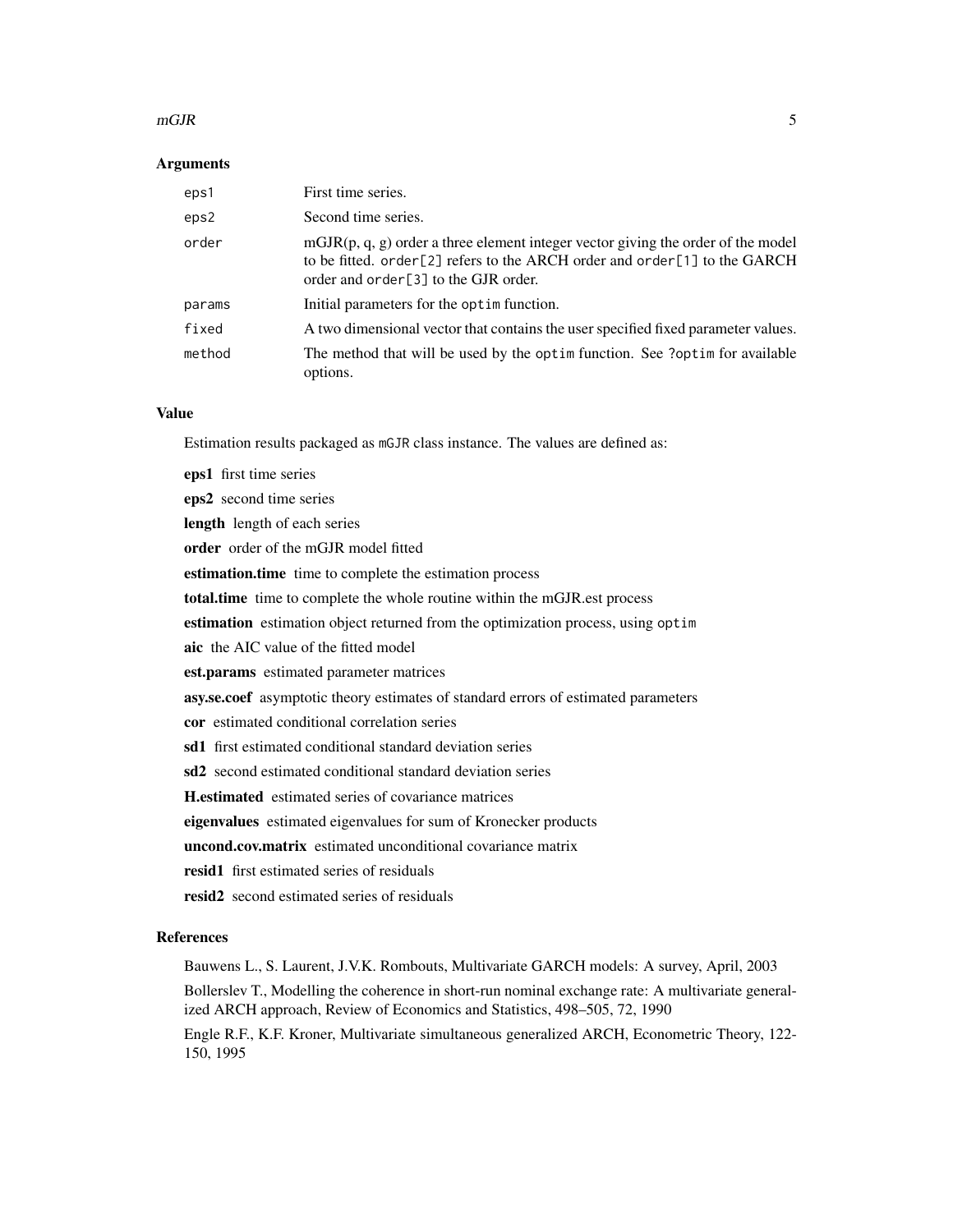#### $mGJR$  5

#### **Arguments**

| eps1   | First time series.                                                                                                                                                                                      |
|--------|---------------------------------------------------------------------------------------------------------------------------------------------------------------------------------------------------------|
| eps2   | Second time series.                                                                                                                                                                                     |
| order  | $mgJR(p, q, g)$ order a three element integer vector giving the order of the model<br>to be fitted. order[2] refers to the ARCH order and order[1] to the GARCH<br>order and order[3] to the GJR order. |
| params | Initial parameters for the optime function.                                                                                                                                                             |
| fixed  | A two dimensional vector that contains the user specified fixed parameter values.                                                                                                                       |
| method | The method that will be used by the optim function. See ?optim for available<br>options.                                                                                                                |

#### Value

Estimation results packaged as mGJR class instance. The values are defined as:

eps1 first time series eps2 second time series length length of each series order order of the mGJR model fitted estimation.time time to complete the estimation process total.time time to complete the whole routine within the mGJR.est process estimation estimation object returned from the optimization process, using optim aic the AIC value of the fitted model est.params estimated parameter matrices asy.se.coef asymptotic theory estimates of standard errors of estimated parameters cor estimated conditional correlation series sd1 first estimated conditional standard deviation series sd2 second estimated conditional standard deviation series H.estimated estimated series of covariance matrices eigenvalues estimated eigenvalues for sum of Kronecker products uncond.cov.matrix estimated unconditional covariance matrix resid1 first estimated series of residuals resid2 second estimated series of residuals

#### References

Bauwens L., S. Laurent, J.V.K. Rombouts, Multivariate GARCH models: A survey, April, 2003 Bollerslev T., Modelling the coherence in short-run nominal exchange rate: A multivariate generalized ARCH approach, Review of Economics and Statistics, 498–505, 72, 1990 Engle R.F., K.F. Kroner, Multivariate simultaneous generalized ARCH, Econometric Theory, 122- 150, 1995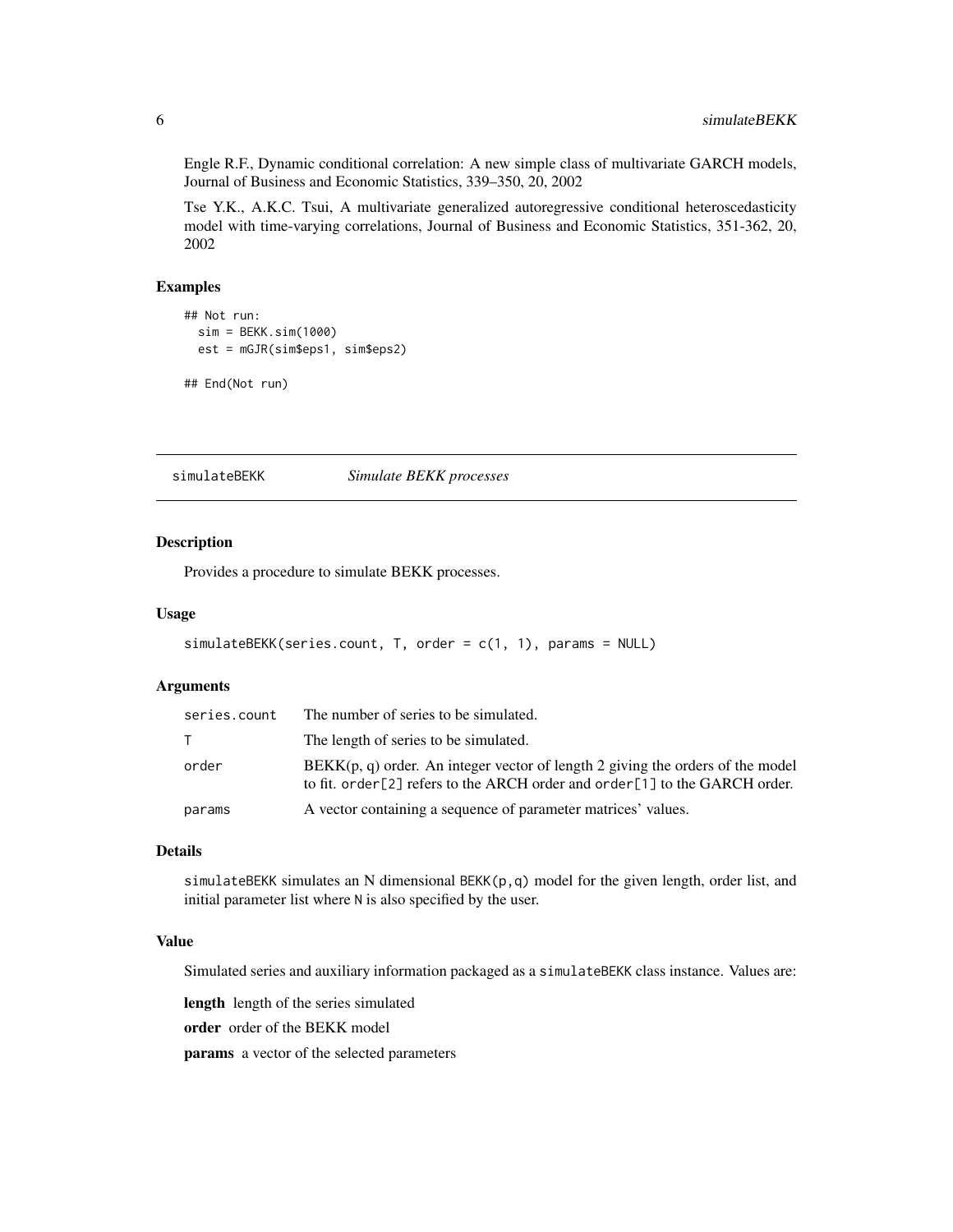Engle R.F., Dynamic conditional correlation: A new simple class of multivariate GARCH models, Journal of Business and Economic Statistics, 339–350, 20, 2002

Tse Y.K., A.K.C. Tsui, A multivariate generalized autoregressive conditional heteroscedasticity model with time-varying correlations, Journal of Business and Economic Statistics, 351-362, 20, 2002

#### Examples

```
## Not run:
 sim = BEKK.sim(1000)
 est = mGJR(sim$eps1, sim$eps2)
```

```
## End(Not run)
```
simulateBEKK *Simulate BEKK processes*

#### Description

Provides a procedure to simulate BEKK processes.

#### Usage

```
simulateBEKK(series.count, T, order = c(1, 1), params = NULL)
```
#### Arguments

| series.count | The number of series to be simulated.                                                                                                                            |
|--------------|------------------------------------------------------------------------------------------------------------------------------------------------------------------|
|              | The length of series to be simulated.                                                                                                                            |
| order        | $BEKK(p, q)$ order. An integer vector of length 2 giving the orders of the model<br>to fit. order [2] refers to the ARCH order and order [1] to the GARCH order. |
| params       | A vector containing a sequence of parameter matrices' values.                                                                                                    |

#### Details

simulateBEKK simulates an N dimensional BEKK(p,q) model for the given length, order list, and initial parameter list where N is also specified by the user.

#### Value

Simulated series and auxiliary information packaged as a simulateBEKK class instance. Values are:

length length of the series simulated

order order of the BEKK model

params a vector of the selected parameters

<span id="page-5-0"></span>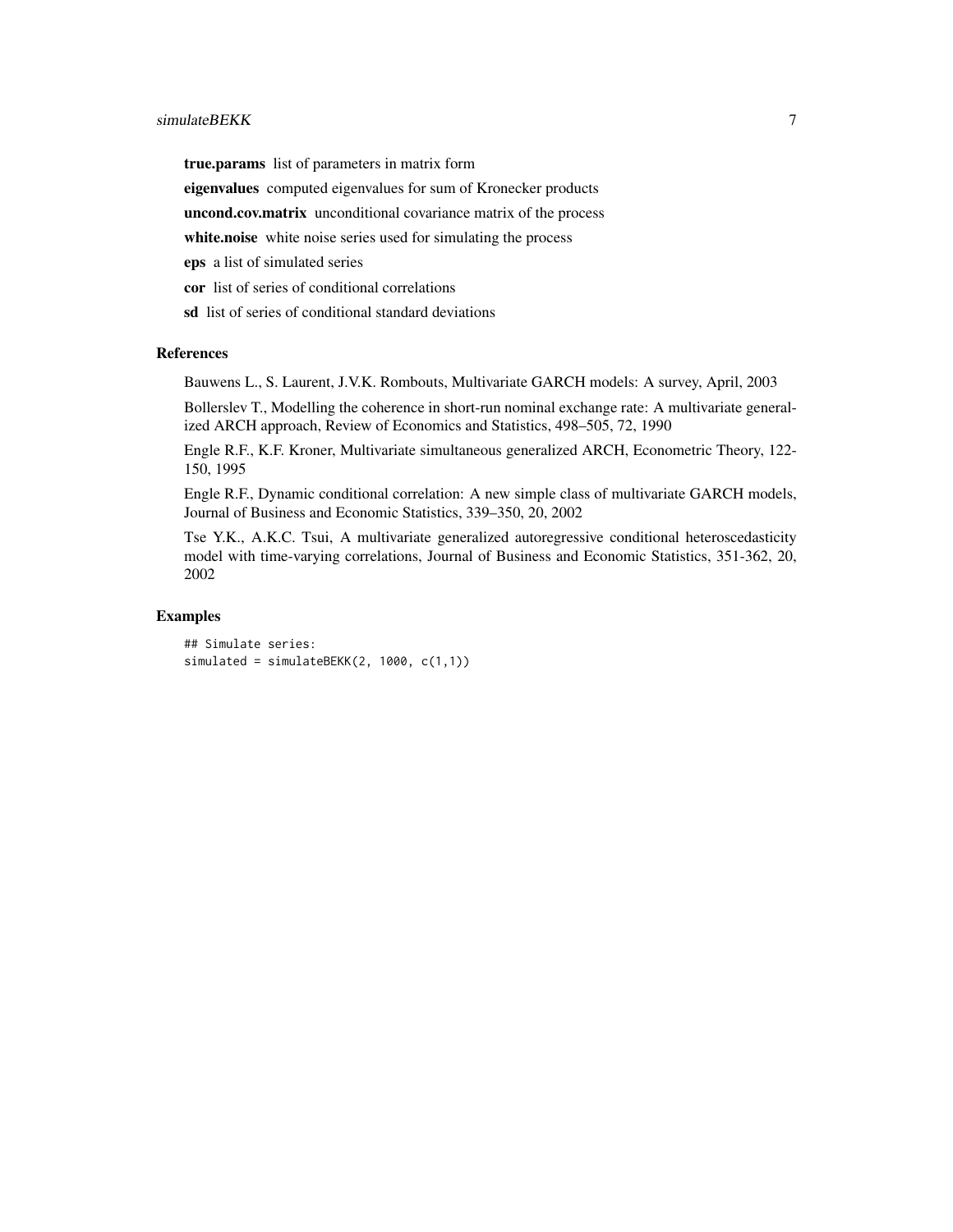#### simulateBEKK 7

true.params list of parameters in matrix form eigenvalues computed eigenvalues for sum of Kronecker products uncond.cov.matrix unconditional covariance matrix of the process white.noise white noise series used for simulating the process eps a list of simulated series cor list of series of conditional correlations sd list of series of conditional standard deviations

#### References

Bauwens L., S. Laurent, J.V.K. Rombouts, Multivariate GARCH models: A survey, April, 2003

Bollerslev T., Modelling the coherence in short-run nominal exchange rate: A multivariate generalized ARCH approach, Review of Economics and Statistics, 498–505, 72, 1990

Engle R.F., K.F. Kroner, Multivariate simultaneous generalized ARCH, Econometric Theory, 122- 150, 1995

Engle R.F., Dynamic conditional correlation: A new simple class of multivariate GARCH models, Journal of Business and Economic Statistics, 339–350, 20, 2002

Tse Y.K., A.K.C. Tsui, A multivariate generalized autoregressive conditional heteroscedasticity model with time-varying correlations, Journal of Business and Economic Statistics, 351-362, 20, 2002

#### Examples

## Simulate series: simulated = simulateBEKK(2, 1000, c(1,1))